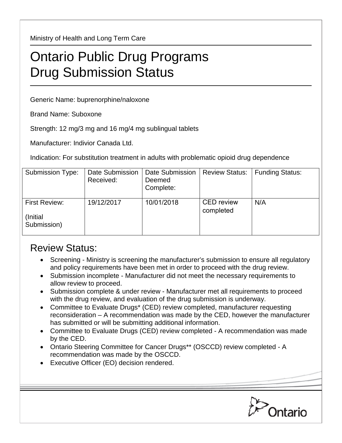Ministry of Health and Long Term Care

## Ontario Public Drug Programs Drug Submission Status

Generic Name: buprenorphine/naloxone

Brand Name: Suboxone

Strength: 12 mg/3 mg and 16 mg/4 mg sublingual tablets

Manufacturer: Indivior Canada Ltd.

Indication: For substitution treatment in adults with problematic opioid drug dependence

| <b>Submission Type:</b>                          | Date Submission<br>Received: | Date Submission<br>Deemed<br>Complete: | <b>Review Status:</b>          | <b>Funding Status:</b> |
|--------------------------------------------------|------------------------------|----------------------------------------|--------------------------------|------------------------|
| <b>First Review:</b><br>(Initial)<br>Submission) | 19/12/2017                   | 10/01/2018                             | <b>CED</b> review<br>completed | N/A                    |

## Review Status:

- Screening Ministry is screening the manufacturer's submission to ensure all regulatory and policy requirements have been met in order to proceed with the drug review.
- Submission incomplete Manufacturer did not meet the necessary requirements to allow review to proceed.
- Submission complete & under review Manufacturer met all requirements to proceed with the drug review, and evaluation of the drug submission is underway.
- Committee to Evaluate Drugs\* (CED) review completed, manufacturer requesting reconsideration – A recommendation was made by the CED, however the manufacturer has submitted or will be submitting additional information.
- Committee to Evaluate Drugs (CED) review completed A recommendation was made by the CED.
- Ontario Steering Committee for Cancer Drugs\*\* (OSCCD) review completed A recommendation was made by the OSCCD.
- Executive Officer (EO) decision rendered.